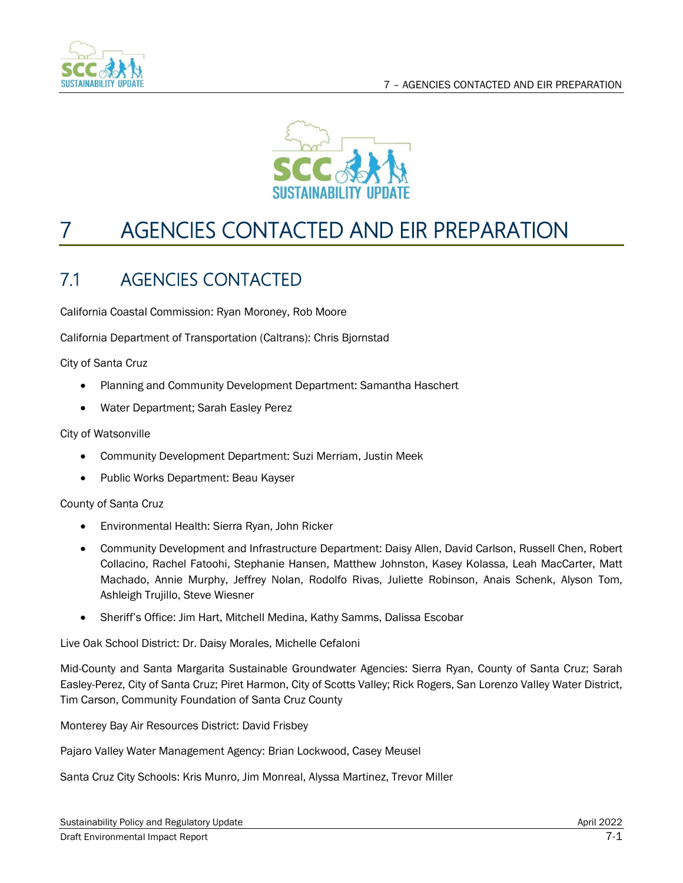



# 7 AGENCIES CONTACTED AND EIR PREPARATION

# 7.1 AGENCIES CONTACTED

California Coastal Commission: Ryan Moroney, Rob Moore

California Department of Transportation (Caltrans): Chris Bjornstad

City of Santa Cruz

- Planning and Community Development Department: Samantha Haschert
- Water Department; Sarah Easley Perez

#### City of Watsonville

- Community Development Department: Suzi Merriam, Justin Meek
- Public Works Department: Beau Kayser

#### County of Santa Cruz

- Environmental Health: Sierra Ryan, John Ricker
- Community Development and Infrastructure Department: Daisy Allen, David Carlson, Russell Chen, Robert Collacino, Rachel Fatoohi, Stephanie Hansen, Matthew Johnston, Kasey Kolassa, Leah MacCarter, Matt Machado, Annie Murphy, Jeffrey Nolan, Rodolfo Rivas, Juliette Robinson, Anais Schenk, Alyson Tom, Ashleigh Trujillo, Steve Wiesner
- Sheriff's Office: Jim Hart, Mitchell Medina, Kathy Samms, Dalissa Escobar

Live Oak School District: Dr. Daisy Morales, Michelle Cefaloni

Mid-County and Santa Margarita Sustainable Groundwater Agencies: Sierra Ryan, County of Santa Cruz; Sarah Easley-Perez, City of Santa Cruz; Piret Harmon, City of Scotts Valley; Rick Rogers, San Lorenzo Valley Water District, Tim Carson, Community Foundation of Santa Cruz County

Monterey Bay Air Resources District: David Frisbey

Pajaro Valley Water Management Agency: Brian Lockwood, Casey Meusel

Santa Cruz City Schools: Kris Munro, Jim Monreal, Alyssa Martinez, Trevor Miller